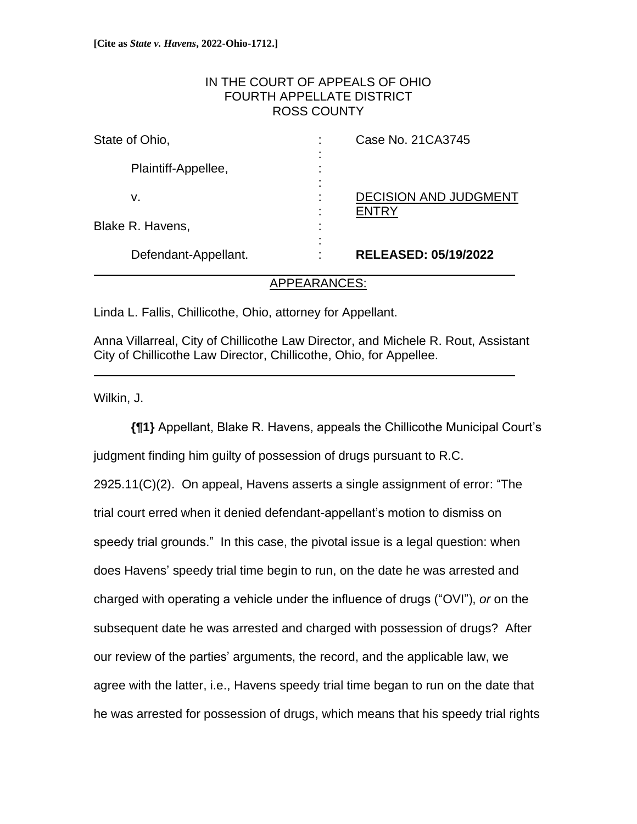# IN THE COURT OF APPEALS OF OHIO FOURTH APPELLATE DISTRICT ROSS COUNTY

| State of Ohio,       | Case No. 21 CA3745<br>٠           |
|----------------------|-----------------------------------|
| Plaintiff-Appellee,  |                                   |
| v.                   | <b>DECISION AND JUDGMENT</b><br>٠ |
| Blake R. Havens,     |                                   |
| Defendant-Appellant. | <b>RELEASED: 05/19/2022</b>       |

## APPEARANCES:

Linda L. Fallis, Chillicothe, Ohio, attorney for Appellant.

Anna Villarreal, City of Chillicothe Law Director, and Michele R. Rout, Assistant City of Chillicothe Law Director, Chillicothe, Ohio, for Appellee.

i<br>L

Wilkin, J.

**{¶1}** Appellant, Blake R. Havens, appeals the Chillicothe Municipal Court's judgment finding him guilty of possession of drugs pursuant to R.C. 2925.11(C)(2). On appeal, Havens asserts a single assignment of error: "The trial court erred when it denied defendant-appellant's motion to dismiss on speedy trial grounds." In this case, the pivotal issue is a legal question: when does Havens' speedy trial time begin to run, on the date he was arrested and charged with operating a vehicle under the influence of drugs ("OVI"), *or* on the subsequent date he was arrested and charged with possession of drugs? After our review of the parties' arguments, the record, and the applicable law, we agree with the latter, i.e., Havens speedy trial time began to run on the date that he was arrested for possession of drugs, which means that his speedy trial rights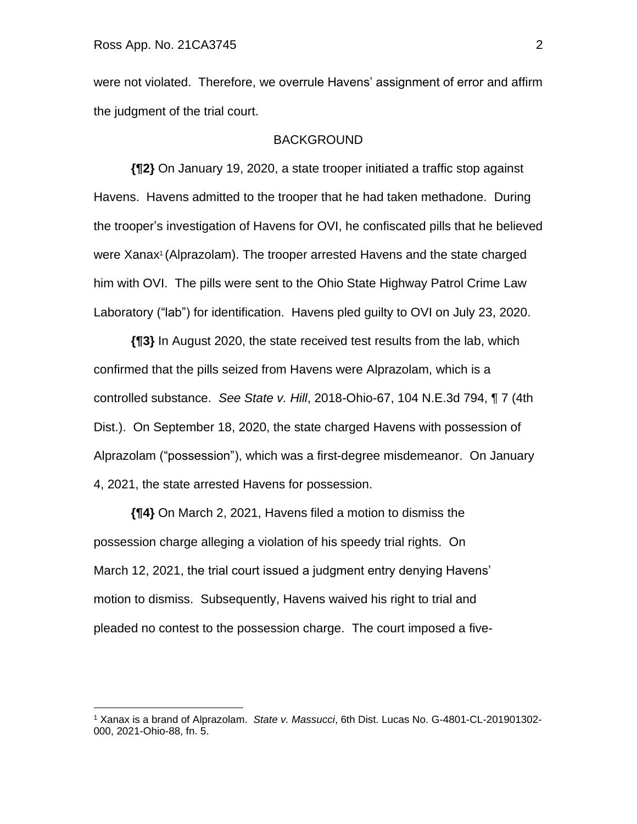were not violated. Therefore, we overrule Havens' assignment of error and affirm the judgment of the trial court.

### BACKGROUND

**{¶2}** On January 19, 2020, a state trooper initiated a traffic stop against Havens. Havens admitted to the trooper that he had taken methadone. During the trooper's investigation of Havens for OVI, he confiscated pills that he believed were Xanax<sup>1</sup> (Alprazolam). The trooper arrested Havens and the state charged him with OVI. The pills were sent to the Ohio State Highway Patrol Crime Law Laboratory ("lab") for identification. Havens pled guilty to OVI on July 23, 2020.

**{¶3}** In August 2020, the state received test results from the lab, which confirmed that the pills seized from Havens were Alprazolam, which is a controlled substance. *See State v. Hill*, 2018-Ohio-67, 104 N.E.3d 794, ¶ 7 (4th Dist.). On September 18, 2020, the state charged Havens with possession of Alprazolam ("possession"), which was a first-degree misdemeanor. On January 4, 2021, the state arrested Havens for possession.

**{¶4}** On March 2, 2021, Havens filed a motion to dismiss the possession charge alleging a violation of his speedy trial rights. On March 12, 2021, the trial court issued a judgment entry denying Havens' motion to dismiss. Subsequently, Havens waived his right to trial and pleaded no contest to the possession charge. The court imposed a five-

<sup>1</sup> Xanax is a brand of Alprazolam. *State v. Massucci*, 6th Dist. Lucas No. G-4801-CL-201901302- 000, 2021-Ohio-88, fn. 5.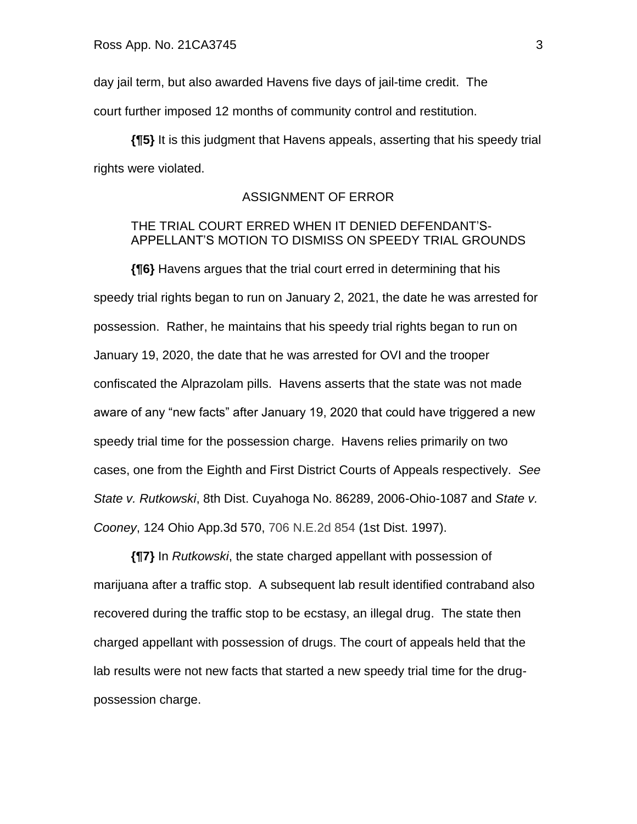day jail term, but also awarded Havens five days of jail-time credit. The court further imposed 12 months of community control and restitution.

 **{¶5}** It is this judgment that Havens appeals, asserting that his speedy trial rights were violated.

# ASSIGNMENT OF ERROR

# THE TRIAL COURT ERRED WHEN IT DENIED DEFENDANT'S-APPELLANT'S MOTION TO DISMISS ON SPEEDY TRIAL GROUNDS

**{¶6}** Havens argues that the trial court erred in determining that his speedy trial rights began to run on January 2, 2021, the date he was arrested for possession. Rather, he maintains that his speedy trial rights began to run on January 19, 2020, the date that he was arrested for OVI and the trooper confiscated the Alprazolam pills. Havens asserts that the state was not made aware of any "new facts" after January 19, 2020 that could have triggered a new speedy trial time for the possession charge. Havens relies primarily on two cases, one from the Eighth and First District Courts of Appeals respectively. *See State v. Rutkowski*, 8th Dist. Cuyahoga No. 86289, 2006-Ohio-1087 and *State v. Cooney*, 124 Ohio App.3d 570, 706 N.E.2d 854 (1st Dist. 1997).

**{¶7}** In *Rutkowski*, the state charged appellant with possession of marijuana after a traffic stop. A subsequent lab result identified contraband also recovered during the traffic stop to be ecstasy, an illegal drug. The state then charged appellant with possession of drugs. The court of appeals held that the lab results were not new facts that started a new speedy trial time for the drugpossession charge.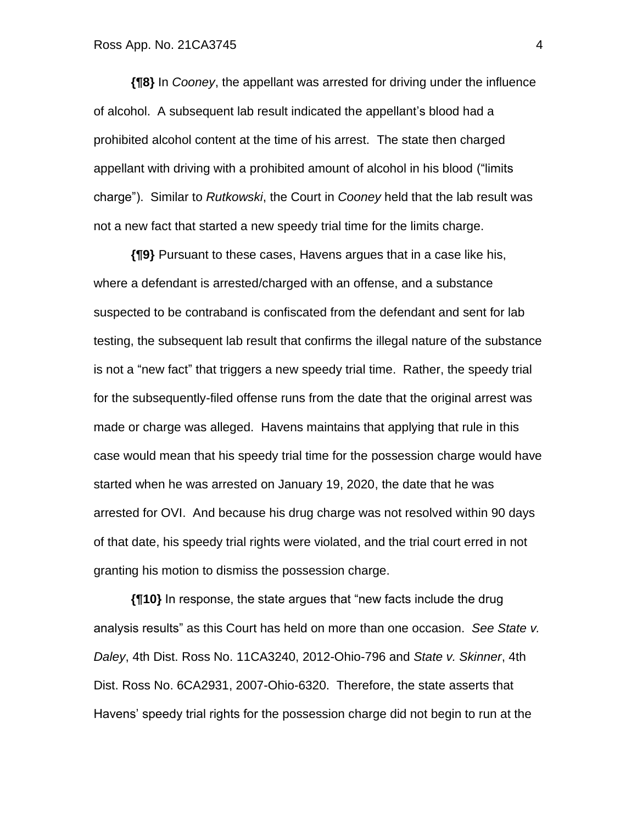**{¶8}** In *Cooney*, the appellant was arrested for driving under the influence of alcohol. A subsequent lab result indicated the appellant's blood had a prohibited alcohol content at the time of his arrest. The state then charged appellant with driving with a prohibited amount of alcohol in his blood ("limits charge"). Similar to *Rutkowski*, the Court in *Cooney* held that the lab result was not a new fact that started a new speedy trial time for the limits charge.

**{¶9}** Pursuant to these cases, Havens argues that in a case like his, where a defendant is arrested/charged with an offense, and a substance suspected to be contraband is confiscated from the defendant and sent for lab testing, the subsequent lab result that confirms the illegal nature of the substance is not a "new fact" that triggers a new speedy trial time. Rather, the speedy trial for the subsequently-filed offense runs from the date that the original arrest was made or charge was alleged. Havens maintains that applying that rule in this case would mean that his speedy trial time for the possession charge would have started when he was arrested on January 19, 2020, the date that he was arrested for OVI. And because his drug charge was not resolved within 90 days of that date, his speedy trial rights were violated, and the trial court erred in not granting his motion to dismiss the possession charge.

**{¶10}** In response, the state argues that "new facts include the drug analysis results" as this Court has held on more than one occasion. *See State v. Daley*, 4th Dist. Ross No. 11CA3240, 2012-Ohio-796 and *State v. Skinner*, 4th Dist. Ross No. 6CA2931, 2007-Ohio-6320. Therefore, the state asserts that Havens' speedy trial rights for the possession charge did not begin to run at the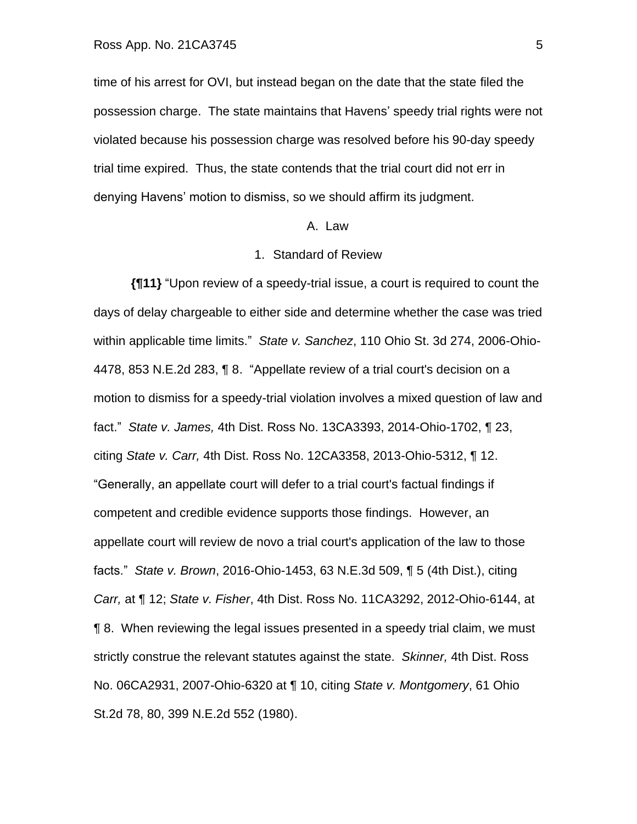time of his arrest for OVI, but instead began on the date that the state filed the possession charge. The state maintains that Havens' speedy trial rights were not violated because his possession charge was resolved before his 90-day speedy trial time expired. Thus, the state contends that the trial court did not err in denying Havens' motion to dismiss, so we should affirm its judgment.

#### A. Law

#### 1. Standard of Review

**{¶11}** "Upon review of a speedy-trial issue, a court is required to count the days of delay chargeable to either side and determine whether the case was tried within applicable time limits." *State v. Sanchez*, 110 Ohio St. 3d 274, 2006-Ohio-4478, 853 N.E.2d 283, ¶ 8. "Appellate review of a trial court's decision on a motion to dismiss for a speedy-trial violation involves a mixed question of law and fact." *State v. James,* 4th Dist. Ross No. 13CA3393, 2014-Ohio-1702, ¶ 23, citing *State v. Carr,* 4th Dist. Ross No. 12CA3358, 2013-Ohio-5312, ¶ 12. "Generally, an appellate court will defer to a trial court's factual findings if competent and credible evidence supports those findings. However, an appellate court will review de novo a trial court's application of the law to those facts." *State v. Brown*, 2016-Ohio-1453, 63 N.E.3d 509, ¶ 5 (4th Dist.), citing *Carr,* at ¶ 12; *State v. Fisher*, 4th Dist. Ross No. 11CA3292, 2012-Ohio-6144, at ¶ 8. When reviewing the legal issues presented in a speedy trial claim, we must strictly construe the relevant statutes against the state. *Skinner,* 4th Dist. Ross No. 06CA2931, 2007-Ohio-6320 at ¶ 10, citing *State v. Montgomery*, 61 Ohio St.2d 78, 80, 399 N.E.2d 552 (1980).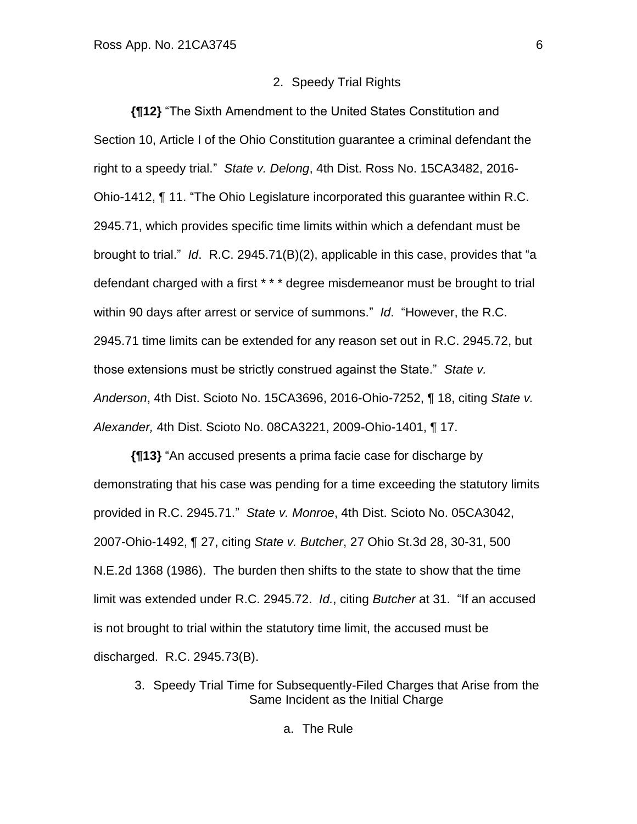### 2. Speedy Trial Rights

**{¶12}** "The Sixth Amendment to the United States Constitution and Section 10, Article I of the Ohio Constitution guarantee a criminal defendant the right to a speedy trial." *State v. Delong*, 4th Dist. Ross No. 15CA3482, 2016- Ohio-1412, ¶ 11. "The Ohio Legislature incorporated this guarantee within R.C. 2945.71, which provides specific time limits within which a defendant must be brought to trial." *Id*. R.C. 2945.71(B)(2), applicable in this case, provides that "a defendant charged with a first \* \* \* degree misdemeanor must be brought to trial within 90 days after arrest or service of summons." *Id*. "However, the R.C. 2945.71 time limits can be extended for any reason set out in R.C. 2945.72, but those extensions must be strictly construed against the State." *State v. Anderson*, 4th Dist. Scioto No. 15CA3696, 2016-Ohio-7252, ¶ 18, citing *State v. Alexander,* 4th Dist. Scioto No. 08CA3221, 2009-Ohio-1401, ¶ 17.

**{¶13}** "An accused presents a prima facie case for discharge by demonstrating that his case was pending for a time exceeding the statutory limits provided in R.C. 2945.71." *State v. Monroe*, 4th Dist. Scioto No. 05CA3042, 2007-Ohio-1492, ¶ 27, citing *State v. Butcher*, 27 Ohio St.3d 28, 30-31, 500 N.E.2d 1368 (1986). The burden then shifts to the state to show that the time limit was extended under R.C. 2945.72. *Id.*, citing *Butcher* at 31. "If an accused is not brought to trial within the statutory time limit, the accused must be discharged. R.C. 2945.73(B).

3. Speedy Trial Time for Subsequently-Filed Charges that Arise from the Same Incident as the Initial Charge

a. The Rule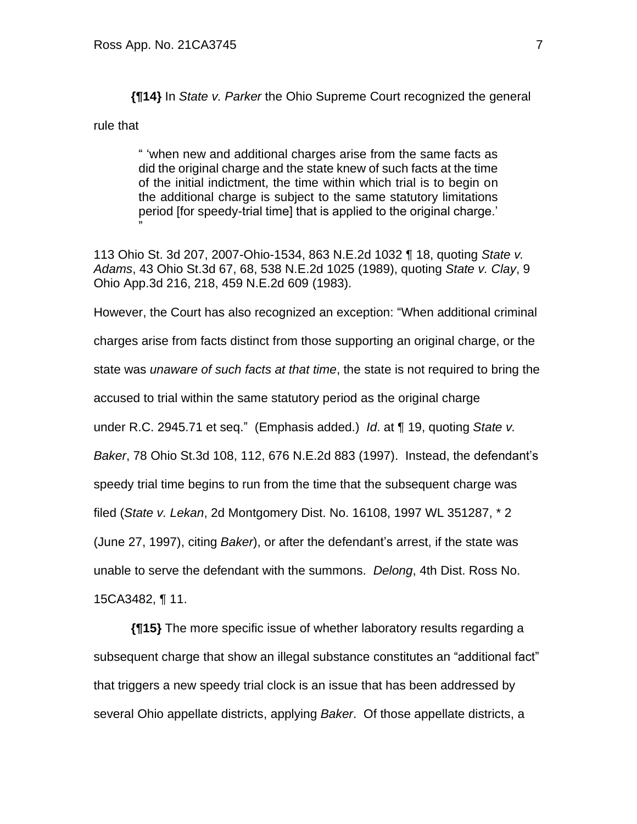**{¶14}** In *State v. Parker* the Ohio Supreme Court recognized the general

rule that

"

" 'when new and additional charges arise from the same facts as did the original charge and the state knew of such facts at the time of the initial indictment, the time within which trial is to begin on the additional charge is subject to the same statutory limitations period [for speedy-trial time] that is applied to the original charge.'

113 Ohio St. 3d 207, 2007-Ohio-1534, 863 N.E.2d 1032 ¶ 18, quoting *State v. Adams*, 43 Ohio St.3d 67, 68, 538 N.E.2d 1025 (1989), quoting *State v. Clay*, 9 Ohio App.3d 216, 218, 459 N.E.2d 609 (1983).

However, the Court has also recognized an exception: "When additional criminal charges arise from facts distinct from those supporting an original charge, or the state was *unaware of such facts at that time*, the state is not required to bring the accused to trial within the same statutory period as the original charge under R.C. 2945.71 et seq." (Emphasis added.) *Id*. at ¶ 19, quoting *State v. Baker*, 78 Ohio St.3d 108, 112, 676 N.E.2d 883 (1997). Instead, the defendant's speedy trial time begins to run from the time that the subsequent charge was filed (*State v. Lekan*, 2d Montgomery Dist. No. 16108, 1997 WL 351287, \* 2 (June 27, 1997), citing *Baker*), or after the defendant's arrest, if the state was unable to serve the defendant with the summons. *Delong*, 4th Dist. Ross No. 15CA3482, ¶ 11.

**{¶15}** The more specific issue of whether laboratory results regarding a subsequent charge that show an illegal substance constitutes an "additional fact" that triggers a new speedy trial clock is an issue that has been addressed by several Ohio appellate districts, applying *Baker*. Of those appellate districts, a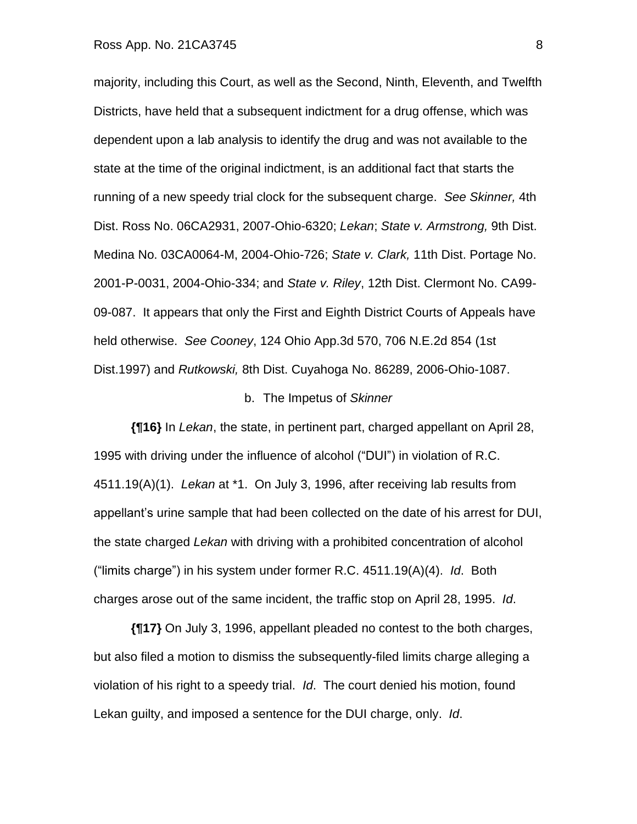## Ross App. No. 21CA3745 8

majority, including this Court, as well as the Second, Ninth, Eleventh, and Twelfth Districts, have held that a subsequent indictment for a drug offense, which was dependent upon a lab analysis to identify the drug and was not available to the state at the time of the original indictment, is an additional fact that starts the running of a new speedy trial clock for the subsequent charge. *See Skinner,* 4th Dist. Ross No. 06CA2931, 2007-Ohio-6320; *Lekan*; *State v. Armstrong,* 9th Dist. Medina No. 03CA0064-M, 2004-Ohio-726; *State v. Clark,* 11th Dist. Portage No. 2001-P-0031, 2004-Ohio-334; and *State v. Riley*, 12th Dist. Clermont No. CA99- 09-087. It appears that only the First and Eighth District Courts of Appeals have held otherwise. *See Cooney*, 124 Ohio App.3d 570, 706 N.E.2d 854 (1st Dist.1997) and *Rutkowski,* 8th Dist. Cuyahoga No. 86289, 2006-Ohio-1087.

### b. The Impetus of *Skinner*

**{¶16}** In *Lekan*, the state, in pertinent part, charged appellant on April 28, 1995 with driving under the influence of alcohol ("DUI") in violation of R.C. 4511.19(A)(1). *Lekan* at \*1. On July 3, 1996, after receiving lab results from appellant's urine sample that had been collected on the date of his arrest for DUI, the state charged *Lekan* with driving with a prohibited concentration of alcohol ("limits charge") in his system under former R.C. 4511.19(A)(4). *Id*. Both charges arose out of the same incident, the traffic stop on April 28, 1995. *Id*.

**{¶17}** On July 3, 1996, appellant pleaded no contest to the both charges, but also filed a motion to dismiss the subsequently-filed limits charge alleging a violation of his right to a speedy trial. *Id*. The court denied his motion, found Lekan guilty, and imposed a sentence for the DUI charge, only. *Id*.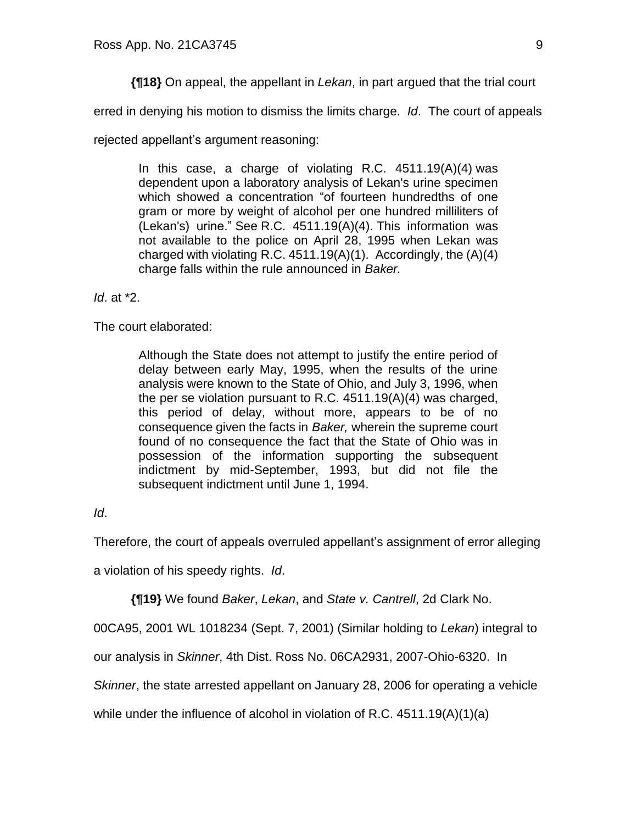**{¶18}** On appeal, the appellant in *Lekan*, in part argued that the trial court

erred in denying his motion to dismiss the limits charge. *Id*. The court of appeals

rejected appellant's argument reasoning:

In this case, a charge of violating R.C.  $4511.19(A)(4)$  was dependent upon a laboratory analysis of Lekan's urine specimen which showed a concentration "of fourteen hundredths of one gram or more by weight of alcohol per one hundred milliliters of (Lekan's) urine." See R.C. 4511.19(A)(4). This information was not available to the police on April 28, 1995 when Lekan was charged with violating R.C.  $4511.19(A)(1)$ . Accordingly, the  $(A)(4)$ charge falls within the rule announced in *Baker.*

*Id*. at \*2.

The court elaborated:

Although the State does not attempt to justify the entire period of delay between early May, 1995, when the results of the urine analysis were known to the State of Ohio, and July 3, 1996, when the per se violation pursuant to R.C. 4511.19(A)(4) was charged, this period of delay, without more, appears to be of no consequence given the facts in *Baker,* wherein the supreme court found of no consequence the fact that the State of Ohio was in possession of the information supporting the subsequent indictment by mid-September, 1993, but did not file the subsequent indictment until June 1, 1994.

*Id*.

Therefore, the court of appeals overruled appellant's assignment of error alleging

a violation of his speedy rights. *Id*.

**{¶19}** We found *Baker*, *Lekan*, and *State v. Cantrell*, 2d Clark No.

00CA95, 2001 WL 1018234 (Sept. 7, 2001) (Similar holding to *Lekan*) integral to

our analysis in *Skinner*, 4th Dist. Ross No. 06CA2931, 2007-Ohio-6320. In

*Skinner*, the state arrested appellant on January 28, 2006 for operating a vehicle

while under the influence of alcohol in violation of R.C. 4511.19(A)(1)(a)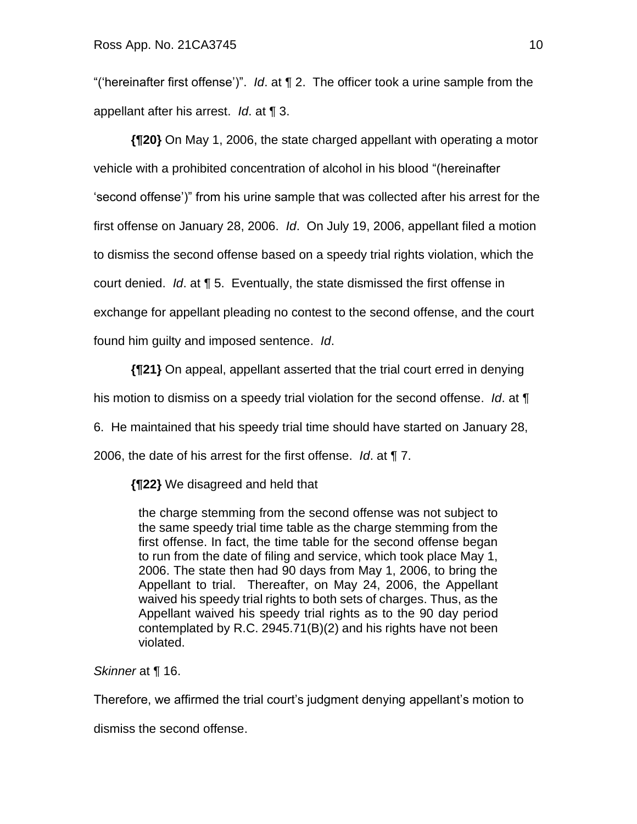"('hereinafter first offense')". *Id*. at ¶ 2. The officer took a urine sample from the appellant after his arrest. *Id*. at ¶ 3.

**{¶20}** On May 1, 2006, the state charged appellant with operating a motor vehicle with a prohibited concentration of alcohol in his blood "(hereinafter 'second offense')" from his urine sample that was collected after his arrest for the first offense on January 28, 2006. *Id*. On July 19, 2006, appellant filed a motion to dismiss the second offense based on a speedy trial rights violation, which the court denied. *Id*. at ¶ 5. Eventually, the state dismissed the first offense in exchange for appellant pleading no contest to the second offense, and the court found him guilty and imposed sentence. *Id*.

**{¶21}** On appeal, appellant asserted that the trial court erred in denying

his motion to dismiss on a speedy trial violation for the second offense. *Id*. at ¶

6. He maintained that his speedy trial time should have started on January 28,

2006, the date of his arrest for the first offense. *Id*. at ¶ 7.

**{¶22}** We disagreed and held that

the charge stemming from the second offense was not subject to the same speedy trial time table as the charge stemming from the first offense. In fact, the time table for the second offense began to run from the date of filing and service, which took place May 1, 2006. The state then had 90 days from May 1, 2006, to bring the Appellant to trial. Thereafter, on May 24, 2006, the Appellant waived his speedy trial rights to both sets of charges. Thus, as the Appellant waived his speedy trial rights as to the 90 day period contemplated by R.C. 2945.71(B)(2) and his rights have not been violated.

*Skinner* at ¶ 16.

Therefore, we affirmed the trial court's judgment denying appellant's motion to

dismiss the second offense.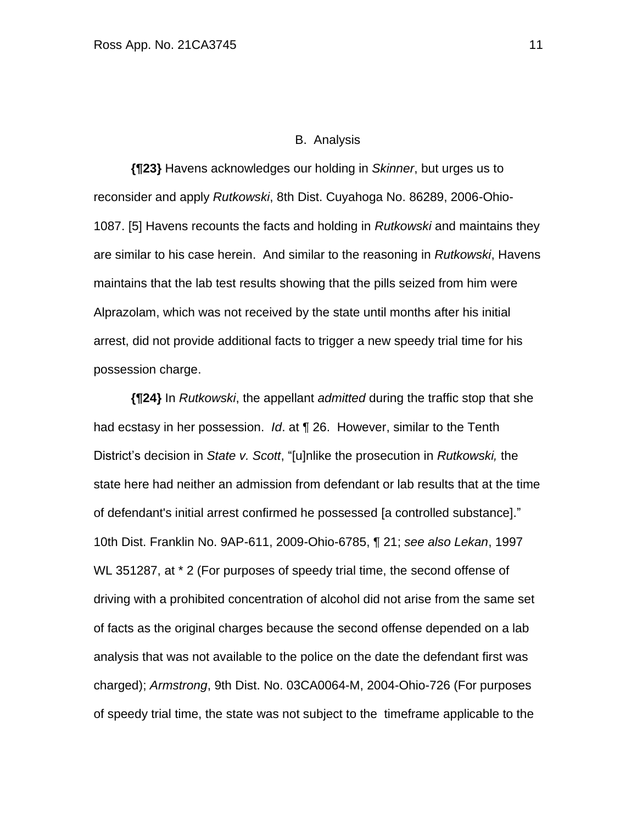### B. Analysis

**{¶23}** Havens acknowledges our holding in *Skinner*, but urges us to reconsider and apply *Rutkowski*, 8th Dist. Cuyahoga No. 86289, 2006-Ohio-1087. [5] Havens recounts the facts and holding in *Rutkowski* and maintains they are similar to his case herein. And similar to the reasoning in *Rutkowski*, Havens maintains that the lab test results showing that the pills seized from him were Alprazolam, which was not received by the state until months after his initial arrest, did not provide additional facts to trigger a new speedy trial time for his possession charge.

**{¶24}** In *Rutkowski*, the appellant *admitted* during the traffic stop that she had ecstasy in her possession. *Id*. at ¶ 26. However, similar to the Tenth District's decision in *State v. Scott*, "[u]nlike the prosecution in *Rutkowski,* the state here had neither an admission from defendant or lab results that at the time of defendant's initial arrest confirmed he possessed [a controlled substance]." 10th Dist. Franklin No. 9AP-611, 2009-Ohio-6785, ¶ 21; *see also Lekan*, 1997 WL 351287, at \* 2 (For purposes of speedy trial time, the second offense of driving with a prohibited concentration of alcohol did not arise from the same set of facts as the original charges because the second offense depended on a lab analysis that was not available to the police on the date the defendant first was charged); *Armstrong*, 9th Dist. No. 03CA0064-M, 2004-Ohio-726 (For purposes of speedy trial time, the state was not subject to the timeframe applicable to the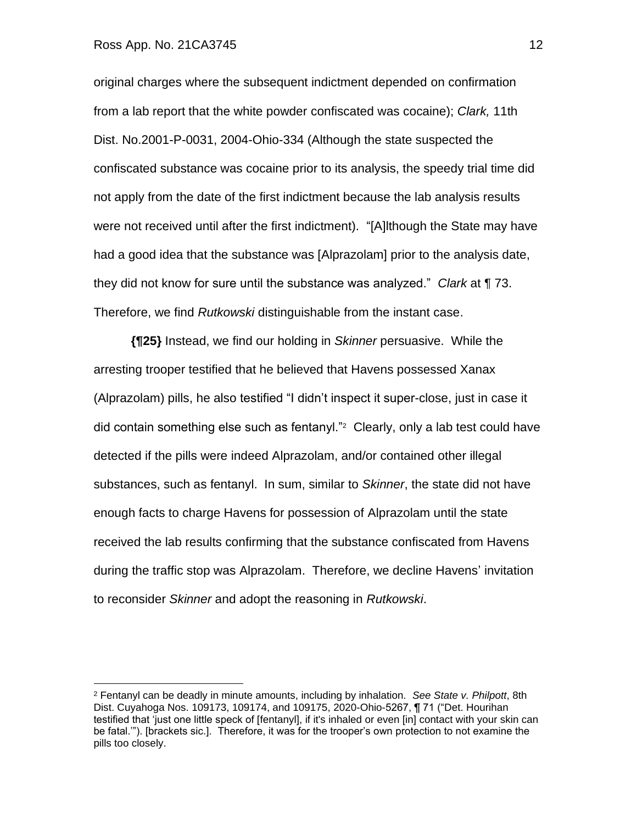## Ross App. No. 21CA3745 12

original charges where the subsequent indictment depended on confirmation from a lab report that the white powder confiscated was cocaine); *Clark,* 11th Dist. No.2001-P-0031, 2004-Ohio-334 (Although the state suspected the confiscated substance was cocaine prior to its analysis, the speedy trial time did not apply from the date of the first indictment because the lab analysis results were not received until after the first indictment). "[A]lthough the State may have had a good idea that the substance was [Alprazolam] prior to the analysis date, they did not know for sure until the substance was analyzed." *Clark* at ¶ 73. Therefore, we find *Rutkowski* distinguishable from the instant case.

**{¶25}** Instead, we find our holding in *Skinner* persuasive. While the arresting trooper testified that he believed that Havens possessed Xanax (Alprazolam) pills, he also testified "I didn't inspect it super-close, just in case it did contain something else such as fentanyl."<sup>2</sup> Clearly, only a lab test could have detected if the pills were indeed Alprazolam, and/or contained other illegal substances, such as fentanyl. In sum, similar to *Skinner*, the state did not have enough facts to charge Havens for possession of Alprazolam until the state received the lab results confirming that the substance confiscated from Havens during the traffic stop was Alprazolam. Therefore, we decline Havens' invitation to reconsider *Skinner* and adopt the reasoning in *Rutkowski*.

<sup>2</sup> Fentanyl can be deadly in minute amounts, including by inhalation. *See State v. Philpott*, 8th Dist. Cuyahoga Nos. 109173, 109174, and 109175, 2020-Ohio-5267, ¶ 71 ("Det. Hourihan testified that 'just one little speck of [fentanyl], if it's inhaled or even [in] contact with your skin can be fatal.'"). [brackets sic.]. Therefore, it was for the trooper's own protection to not examine the pills too closely.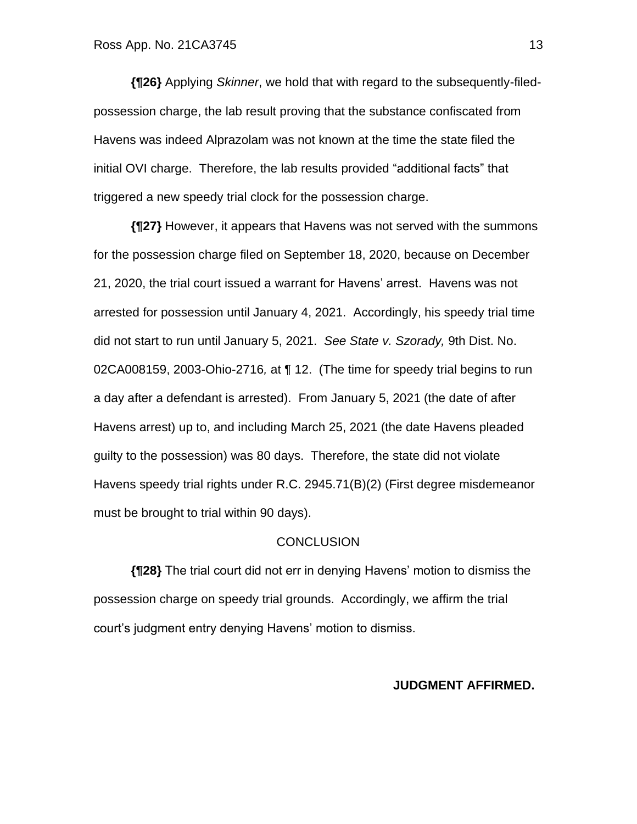**{¶26}** Applying *Skinner*, we hold that with regard to the subsequently-filedpossession charge, the lab result proving that the substance confiscated from Havens was indeed Alprazolam was not known at the time the state filed the initial OVI charge. Therefore, the lab results provided "additional facts" that triggered a new speedy trial clock for the possession charge.

**{¶27}** However, it appears that Havens was not served with the summons for the possession charge filed on September 18, 2020, because on December 21, 2020, the trial court issued a warrant for Havens' arrest. Havens was not arrested for possession until January 4, 2021. Accordingly, his speedy trial time did not start to run until January 5, 2021. *See State v. Szorady,* 9th Dist. No. 02CA008159, 2003-Ohio-2716*,* at ¶ 12. (The time for speedy trial begins to run a day after a defendant is arrested). From January 5, 2021 (the date of after Havens arrest) up to, and including March 25, 2021 (the date Havens pleaded guilty to the possession) was 80 days. Therefore, the state did not violate Havens speedy trial rights under R.C. 2945.71(B)(2) (First degree misdemeanor must be brought to trial within 90 days).

## **CONCLUSION**

**{¶28}** The trial court did not err in denying Havens' motion to dismiss the possession charge on speedy trial grounds. Accordingly, we affirm the trial court's judgment entry denying Havens' motion to dismiss.

## **JUDGMENT AFFIRMED.**